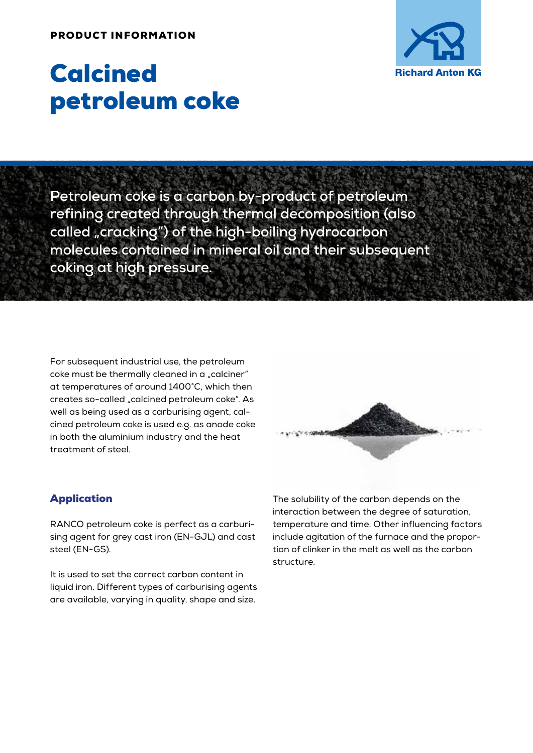#### PRODUCT INFORMATION



# Calcined petroleum coke

**Petroleum coke is a carbon by-product of petroleum refining created through thermal decomposition (also called "cracking") of the high-boiling hydrocarbon molecules contained in mineral oil and their subsequent coking at high pressure.**

For subsequent industrial use, the petroleum coke must be thermally cleaned in a "calciner" at temperatures of around 1400°C, which then creates so-called "calcined petroleum coke". As well as being used as a carburising agent, calcined petroleum coke is used e.g. as anode coke in both the aluminium industry and the heat treatment of steel.

# Application

RANCO petroleum coke is perfect as a carburising agent for grey cast iron (EN-GJL) and cast steel (EN-GS).

It is used to set the correct carbon content in liquid iron. Different types of carburising agents are available, varying in quality, shape and size.